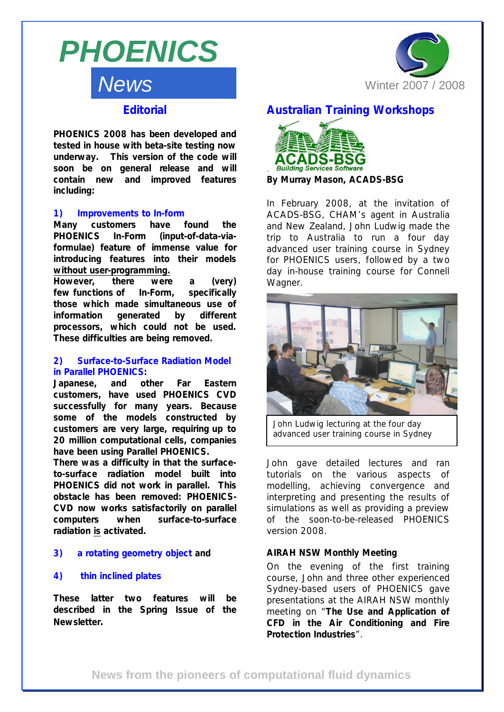# *News PHOENICS*



# **Editorial**

*PHOENICS 2008 has been developed and tested in house with beta-site testing now underway. This version of the code will soon be on general release and will contain new and improved features including:* 

#### *1) Improvements to In-form*

*Many customers have found the PHOENICS In-Form (input-of-data-viaformulae) feature of immense value for introducing features into their models without user-programming.*

*However, there were a (very) few functions of In-Form, specifically those which made simultaneous use of information generated by different processors, which could not be used. These difficulties are being removed.* 

#### **2)** *Surface-to-Surface Radiation Model in Parallel PHOENICS:*

*Japanese, and other Far Eastern customers, have used PHOENICS CVD successfully for many years. Because some of the models constructed by customers are very large, requiring up to 20 million computational cells, companies have been using Parallel PHOENICS.* 

*There was a difficulty in that the surfaceto-surface radiation model built into PHOENICS did not work in parallel. This obstacle has been removed: PHOENICS-CVD now works satisfactorily on parallel computers when surface-to-surface radiation is activated.* 

#### *3) a rotating geometry object and*

#### *4) thin inclined plates*

*These latter two features will be described in the Spring Issue of the Newsletter.*

## **Australian Training Workshops**



**By Murray Mason, ACADS-BSG** 

In February 2008, at the invitation of ACADS-BSG, CHAM's agent in Australia and New Zealand, John Ludwig made the trip to Australia to run a four day advanced user training course in Sydney for PHOENICS users, followed by a two day in-house training course for Connell Wagner.



*John Ludwig lecturing at the four day advanced user training course in Sydney*

John gave detailed lectures and ran tutorials on the various aspects of modelling, achieving convergence and interpreting and presenting the results of simulations as well as providing a preview of the soon-to-be-released PHOENICS version 2008.

#### **AIRAH NSW Monthly Meeting**

On the evening of the first training course, John and three other experienced Sydney-based users of PHOENICS gave presentations at the AIRAH NSW monthly meeting on "**The Use and Application of CFD in the Air Conditioning and Fire Protection Industries**".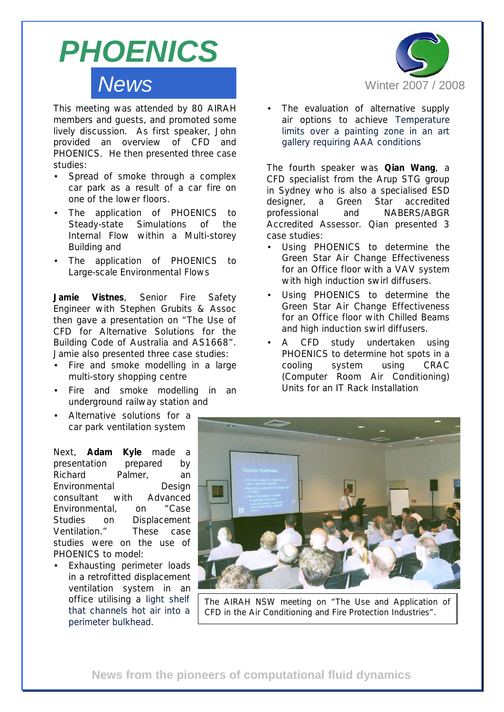# *News PHOENICS*

This meeting was attended by 80 AIRAH members and guests, and promoted some lively discussion. As first speaker, John provided an overview of CFD and PHOENICS. He then presented three case studies:

- Spread of smoke through a complex car park as a result of a car fire on one of the lower floors.
- The application of PHOENICS to Steady-state Simulations of the Internal Flow within a Multi-storey Building and
- The application of PHOENICS to Large-scale Environmental Flows

**Jamie Vistnes**, Senior Fire Safety Engineer with Stephen Grubits & Assoc then gave a presentation on "The Use of CFD for Alternative Solutions for the Building Code of Australia and AS1668". Jamie also presented three case studies:

- Fire and smoke modelling in a large multi-story shopping centre
- Fire and smoke modelling in an underground railway station and
- Alternative solutions for a car park ventilation system

Next, **Adam Kyle** made a presentation prepared by Richard Palmer, an Environmental Design consultant with Advanced Environmental, on "Case Studies on Displacement Ventilation." These case studies were on the use of PHOENICS to model:

Exhausting perimeter loads in a retrofitted displacement ventilation system in an office utilising a light shelf that channels hot air into a perimeter bulkhead.



The evaluation of alternative supply air options to achieve Temperature limits over a painting zone in an art gallery requiring AAA conditions

The fourth speaker was **Qian Wang**, a CFD specialist from the Arup STG group in Sydney who is also a specialised ESD designer, a Green Star accredited professional and NABERS/ABGR Accredited Assessor. Qian presented 3 case studies:

- Using PHOENICS to determine the Green Star Air Change Effectiveness for an Office floor with a VAV system with high induction swirl diffusers.
- Using PHOENICS to determine the Green Star Air Change Effectiveness for an Office floor with Chilled Beams and high induction swirl diffusers.
- A CFD study undertaken using PHOENICS to determine hot spots in a cooling system using CRAC (Computer Room Air Conditioning) Units for an IT Rack Installation



*The AIRAH NSW meeting on "The Use and Application of CFD in the Air Conditioning and Fire Protection Industries".*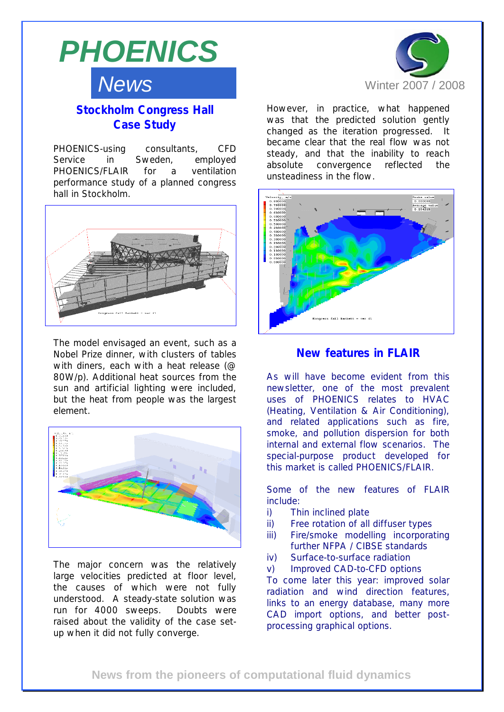

# **Stockholm Congress Hall Case Study**

PHOENICS-using consultants, CFD Service in Sweden, employed PHOENICS/FLAIR for a ventilation performance study of a planned congress hall in Stockholm.



The model envisaged an event, such as a Nobel Prize dinner, with clusters of tables with diners, each with a heat release (@ 80W/p). Additional heat sources from the sun and artificial lighting were included, but the heat from people was the largest element.



The major concern was the relatively large velocities predicted at floor level, the causes of which were not fully understood. A steady-state solution was run for 4000 sweeps. Doubts were raised about the validity of the case setup when it did not fully converge.



However, in practice, what happened was that the predicted solution gently changed as the iteration progressed. It became clear that the real flow was not steady, and that the inability to reach absolute convergence reflected the unsteadiness in the flow.



#### **New features in FLAIR**

As will have become evident from this newsletter, one of the most prevalent uses of PHOENICS relates to HVAC (Heating, Ventilation & Air Conditioning), and related applications such as fire, smoke, and pollution dispersion for both internal and external flow scenarios. The special-purpose product developed for this market is called PHOENICS/FLAIR.

Some of the new features of FLAIR include:

- i) Thin inclined plate
- ii) Free rotation of all diffuser types
- iii) Fire/smoke modelling incorporating further NFPA / CIBSE standards
- iv) Surface-to-surface radiation
- v) Improved CAD-to-CFD options

To come later this year: improved solar radiation and wind direction features, links to an energy database, many more CAD import options, and better postprocessing graphical options.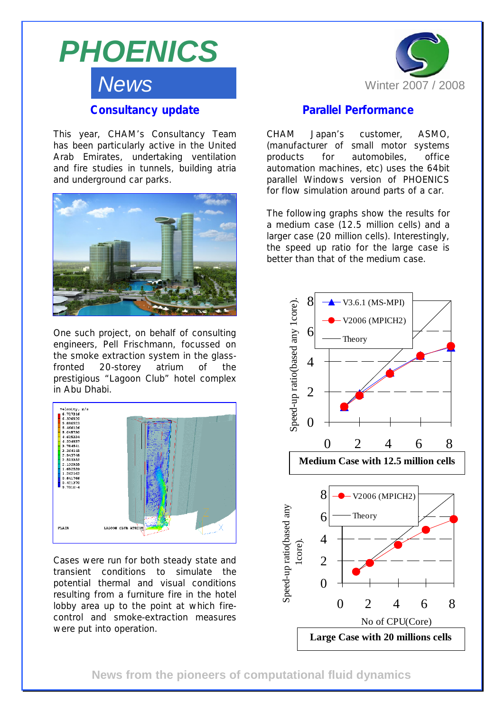

This year, CHAM's Consultancy Team has been particularly active in the United Arab Emirates, undertaking ventilation and fire studies in tunnels, building atria and underground car parks.



One such project, on behalf of consulting engineers, Pell Frischmann, focussed on the smoke extraction system in the glassfronted 20-storey atrium of the prestigious "Lagoon Club" hotel complex in Abu Dhabi.



Cases were run for both steady state and transient conditions to simulate the potential thermal and visual conditions resulting from a furniture fire in the hotel lobby area up to the point at which firecontrol and smoke-extraction measures were put into operation.



# **Parallel Performance**

CHAM Japan's customer, ASMO, (manufacturer of small motor systems products for automobiles, office automation machines, etc) uses the 64bit parallel Windows version of PHOENICS for flow simulation around parts of a car.

The following graphs show the results for a medium case (12.5 million cells) and a larger case (20 million cells). Interestingly, the speed up ratio for the large case is better than that of the medium case.



**News from the pioneers of computational fluid dynamics**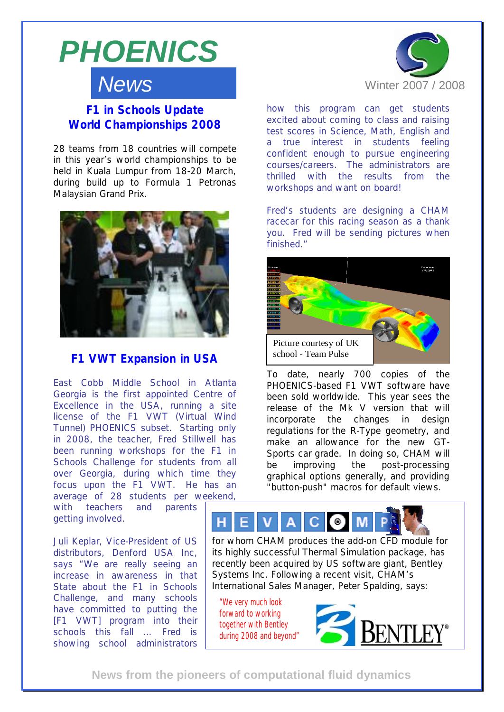

# *News*

**F1 in Schools Update World Championships 2008**

28 teams from 18 countries will compete in this year's world championships to be held in Kuala Lumpur from 18-20 March, during build up to Formula 1 Petronas Malaysian Grand Prix.



### **F1 VWT Expansion in USA**

East Cobb Middle School in Atlanta Georgia is the first appointed Centre of Excellence in the USA, running a site license of the F1 VWT (Virtual Wind Tunnel) PHOENICS subset. Starting only in 2008, the teacher, Fred Stillwell has been running workshops for the F1 in Schools Challenge for students from all over Georgia, during which time they focus upon the F1 VWT. He has an average of 28 students per weekend,

with teachers and parents getting involved.

Juli Keplar, Vice-President of US distributors, Denford USA Inc, says "We are really seeing an increase in awareness in that State about the F1 in Schools Challenge, and many schools have committed to putting the [F1 VWT] program into their schools this fall … Fred is showing school administrators



how this program can get students excited about coming to class and raising test scores in Science, Math, English and a true interest in students feeling confident enough to pursue engineering courses/careers. The administrators are thrilled with the results from the workshops and want on board!

Fred's students are designing a CHAM racecar for this racing season as a thank you. Fred will be sending pictures when finished."



To date, nearly 700 copies of the PHOENICS-based F1 VWT software have been sold worldwide. This year sees the release of the Mk V version that will incorporate the changes in design regulations for the R-Type geometry, and make an allowance for the new GT-Sports car grade. In doing so, CHAM will be improving the post-processing graphical options generally, and providing "button-push" macros for default views.

#### н  $\bullet$ C

for whom CHAM produces the add-on CFD module for its highly successful Thermal Simulation package, has recently been acquired by US software giant, Bentley Systems Inc. Following a recent visit, CHAM's International Sales Manager, Peter Spalding, says:

*"We very much look forward to working together with Bentley during 2008 and beyond"* 



**News from the pioneers of computational fluid dynamics**